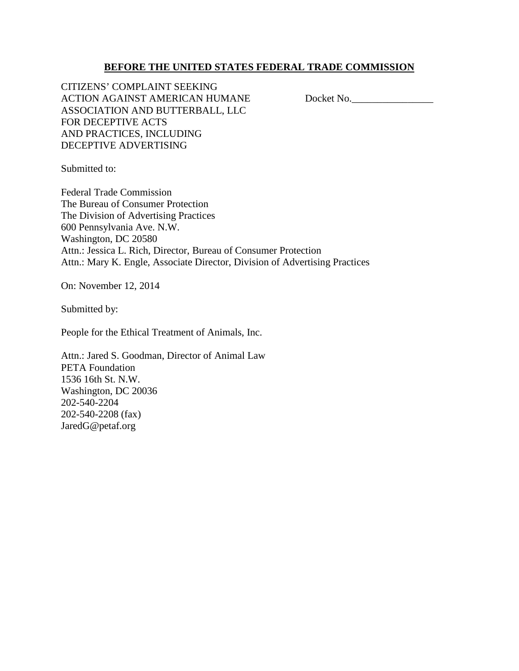# **BEFORE THE UNITED STATES FEDERAL TRADE COMMISSION**

CITIZENS' COMPLAINT SEEKING ACTION AGAINST AMERICAN HUMANE Docket No. ASSOCIATION AND BUTTERBALL, LLC FOR DECEPTIVE ACTS AND PRACTICES, INCLUDING DECEPTIVE ADVERTISING

Submitted to:

Federal Trade Commission The Bureau of Consumer Protection The Division of Advertising Practices 600 Pennsylvania Ave. N.W. Washington, DC 20580 Attn.: Jessica L. Rich, Director, Bureau of Consumer Protection Attn.: Mary K. Engle, Associate Director, Division of Advertising Practices

On: November 12, 2014

Submitted by:

People for the Ethical Treatment of Animals, Inc.

Attn.: Jared S. Goodman, Director of Animal Law PETA Foundation 1536 16th St. N.W. Washington, DC 20036 202-540-2204 202-540-2208 (fax) JaredG@petaf.org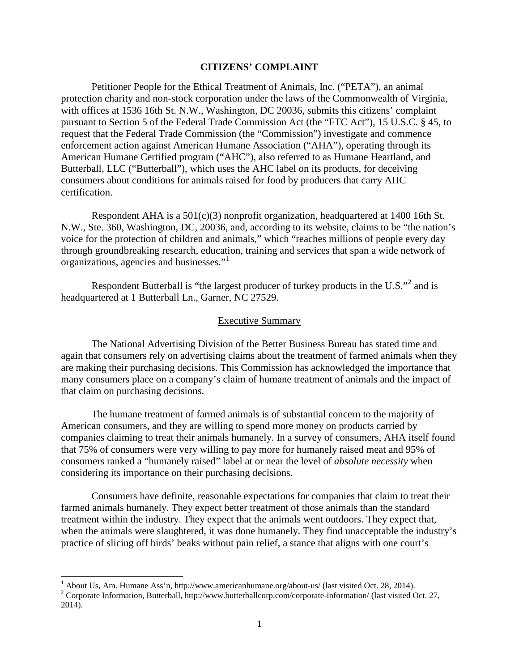#### **CITIZENS' COMPLAINT**

Petitioner People for the Ethical Treatment of Animals, Inc. ("PETA"), an animal protection charity and non-stock corporation under the laws of the Commonwealth of Virginia, with offices at 1536 16th St. N.W., Washington, DC 20036, submits this citizens' complaint pursuant to Section 5 of the Federal Trade Commission Act (the "FTC Act"), 15 U.S.C. § 45, to request that the Federal Trade Commission (the "Commission") investigate and commence enforcement action against American Humane Association ("AHA"), operating through its American Humane Certified program ("AHC"), also referred to as Humane Heartland, and Butterball, LLC ("Butterball"), which uses the AHC label on its products, for deceiving consumers about conditions for animals raised for food by producers that carry AHC certification.

Respondent AHA is a 501(c)(3) nonprofit organization, headquartered at 1400 16th St. N.W., Ste. 360, Washington, DC, 20036, and, according to its website, claims to be "the nation's voice for the protection of children and animals," which "reaches millions of people every day through groundbreaking research, education, training and services that span a wide network of organizations, agencies and businesses."<sup>1</sup>

Respondent Butterball is "the largest producer of turkey products in the U.S."<sup>2</sup> and is headquartered at 1 Butterball Ln., Garner, NC 27529.

#### Executive Summary

The National Advertising Division of the Better Business Bureau has stated time and again that consumers rely on advertising claims about the treatment of farmed animals when they are making their purchasing decisions. This Commission has acknowledged the importance that many consumers place on a company's claim of humane treatment of animals and the impact of that claim on purchasing decisions.

The humane treatment of farmed animals is of substantial concern to the majority of American consumers, and they are willing to spend more money on products carried by companies claiming to treat their animals humanely. In a survey of consumers, AHA itself found that 75% of consumers were very willing to pay more for humanely raised meat and 95% of consumers ranked a "humanely raised" label at or near the level of *absolute necessity* when considering its importance on their purchasing decisions.

Consumers have definite, reasonable expectations for companies that claim to treat their farmed animals humanely. They expect better treatment of those animals than the standard treatment within the industry. They expect that the animals went outdoors. They expect that, when the animals were slaughtered, it was done humanely. They find unacceptable the industry's practice of slicing off birds' beaks without pain relief, a stance that aligns with one court's

<sup>&</sup>lt;sup>1</sup> About Us, Am. Humane Ass'n, http://www.americanhumane.org/about-us/ (last visited Oct. 28, 2014).<br><sup>2</sup> Corporate Information, Butterball, http://www.butterballcorp.com/corporate-information/ (last visited Oct. 27, 2014).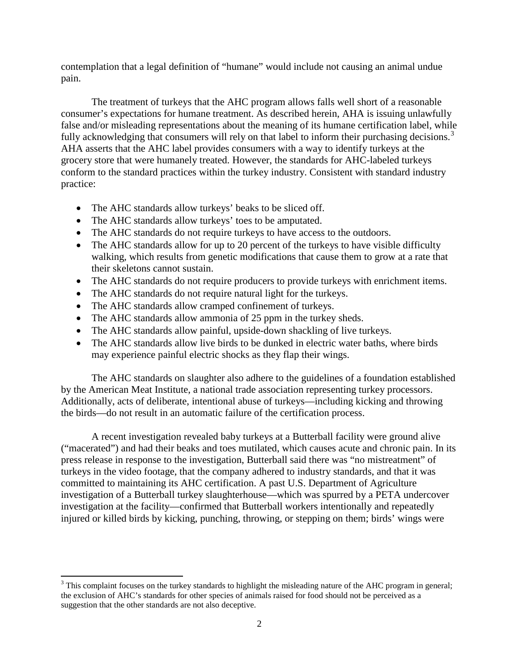contemplation that a legal definition of "humane" would include not causing an animal undue pain.

The treatment of turkeys that the AHC program allows falls well short of a reasonable consumer's expectations for humane treatment. As described herein, AHA is issuing unlawfully false and/or misleading representations about the meaning of its humane certification label, while fully acknowledging that consumers will rely on that label to inform their purchasing decisions.<sup>3</sup> AHA asserts that the AHC label provides consumers with a way to identify turkeys at the grocery store that were humanely treated. However, the standards for AHC-labeled turkeys conform to the standard practices within the turkey industry. Consistent with standard industry practice:

- The AHC standards allow turkeys' beaks to be sliced off.
- The AHC standards allow turkeys' toes to be amputated.
- The AHC standards do not require turkeys to have access to the outdoors.
- The AHC standards allow for up to 20 percent of the turkeys to have visible difficulty walking, which results from genetic modifications that cause them to grow at a rate that their skeletons cannot sustain.
- The AHC standards do not require producers to provide turkeys with enrichment items.
- The AHC standards do not require natural light for the turkeys.
- The AHC standards allow cramped confinement of turkeys.
- The AHC standards allow ammonia of 25 ppm in the turkey sheds.
- The AHC standards allow painful, upside-down shackling of live turkeys.
- The AHC standards allow live birds to be dunked in electric water baths, where birds may experience painful electric shocks as they flap their wings.

The AHC standards on slaughter also adhere to the guidelines of a foundation established by the American Meat Institute, a national trade association representing turkey processors. Additionally, acts of deliberate, intentional abuse of turkeys—including kicking and throwing the birds—do not result in an automatic failure of the certification process.

A recent investigation revealed baby turkeys at a Butterball facility were ground alive ("macerated") and had their beaks and toes mutilated, which causes acute and chronic pain. In its press release in response to the investigation, Butterball said there was "no mistreatment" of turkeys in the video footage, that the company adhered to industry standards, and that it was committed to maintaining its AHC certification. A past U.S. Department of Agriculture investigation of a Butterball turkey slaughterhouse—which was spurred by a PETA undercover investigation at the facility—confirmed that Butterball workers intentionally and repeatedly injured or killed birds by kicking, punching, throwing, or stepping on them; birds' wings were

<sup>&</sup>lt;sup>3</sup> This complaint focuses on the turkey standards to highlight the misleading nature of the AHC program in general; the exclusion of AHC's standards for other species of animals raised for food should not be perceived as a suggestion that the other standards are not also deceptive.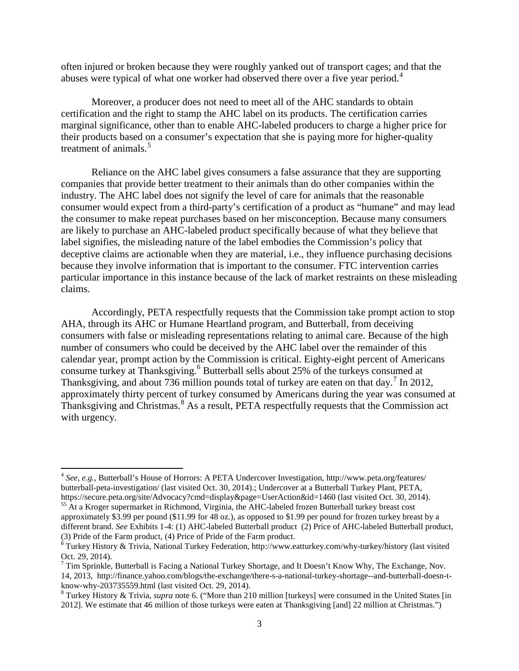often injured or broken because they were roughly yanked out of transport cages; and that the abuses were typical of what one worker had observed there over a five year period.<sup>4</sup>

Moreover, a producer does not need to meet all of the AHC standards to obtain certification and the right to stamp the AHC label on its products. The certification carries marginal significance, other than to enable AHC-labeled producers to charge a higher price for their products based on a consumer's expectation that she is paying more for higher-quality treatment of animals.<sup>5</sup>

Reliance on the AHC label gives consumers a false assurance that they are supporting companies that provide better treatment to their animals than do other companies within the industry. The AHC label does not signify the level of care for animals that the reasonable consumer would expect from a third-party's certification of a product as "humane" and may lead the consumer to make repeat purchases based on her misconception. Because many consumers are likely to purchase an AHC-labeled product specifically because of what they believe that label signifies, the misleading nature of the label embodies the Commission's policy that deceptive claims are actionable when they are material, i.e., they influence purchasing decisions because they involve information that is important to the consumer. FTC intervention carries particular importance in this instance because of the lack of market restraints on these misleading claims.

Accordingly, PETA respectfully requests that the Commission take prompt action to stop AHA, through its AHC or Humane Heartland program, and Butterball, from deceiving consumers with false or misleading representations relating to animal care. Because of the high number of consumers who could be deceived by the AHC label over the remainder of this calendar year, prompt action by the Commission is critical. Eighty-eight percent of Americans consume turkey at Thanksgiving.<sup>6</sup> Butterball sells about 25% of the turkeys consumed at Thanksgiving, and about 736 million pounds total of turkey are eaten on that day.<sup>7</sup> In 2012, approximately thirty percent of turkey consumed by Americans during the year was consumed at Thanksgiving and Christmas.<sup>8</sup> As a result, PETA respectfully requests that the Commission act with urgency.

<sup>4</sup> *See, e.g.,* Butterball's House of Horrors: A PETA Undercover Investigation, http://www.peta.org/features/ butterball-peta-investigation/ (last visited Oct. 30, 2014).; Undercover at a Butterball Turkey Plant, PETA, https://secure.peta.org/site/Advocacy?cmd=display&page=UserAction&id=1460 (last visited Oct. 30, 2014).<br><sup>55</sup> At a Kroger supermarket in Richmond, Virginia, the AHC-labeled frozen Butterball turkey breast cost

approximately \$3.99 per pound (\$11.99 for 48 oz.), as opposed to \$1.99 per pound for frozen turkey breast by a different brand. *See* Exhibits 1-4: (1) AHC-labeled Butterball product (2) Price of AHC-labeled Butterball product, (3) Pride of the Farm product, (3) Pride of the Farm product,

 $6$  Turkey History & Trivia, National Turkey Federation, http://www.eatturkey.com/why-turkey/history (last visited Oct. 29, 2014).

 $7$  Tim Sprinkle, Butterball is Facing a National Turkey Shortage, and It Doesn't Know Why, The Exchange, Nov. 14, 2013, http://finance.yahoo.com/blogs/the-exchange/there-s-a-national-turkey-shortage--and-butterball-doesn-tknow-why-203735559.html (last visited Oct. 29, 2014).<br><sup>8</sup> Turkey History & Trivia, *supra* note 6. ("More than 210 million [turkeys] were consumed in the United States [in

<sup>2012].</sup> We estimate that 46 million of those turkeys were eaten at Thanksgiving [and] 22 million at Christmas.")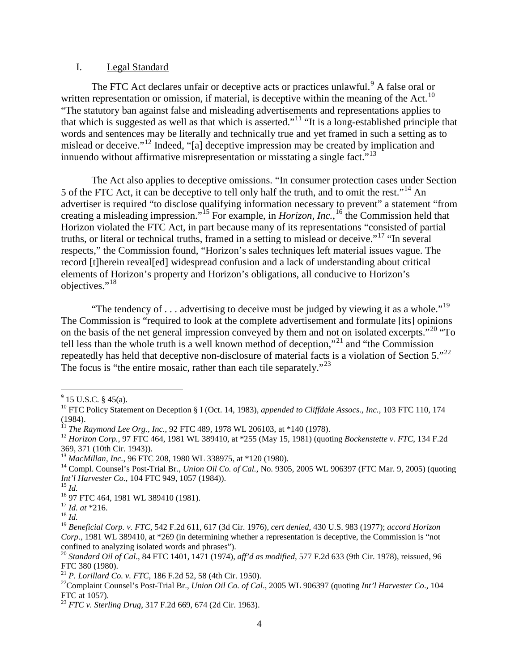#### I. Legal Standard

The FTC Act declares unfair or deceptive acts or practices unlawful.<sup>9</sup> A false oral or written representation or omission, if material, is deceptive within the meaning of the Act.<sup>10</sup> "The statutory ban against false and misleading advertisements and representations applies to that which is suggested as well as that which is asserted."<sup>11</sup> "It is a long-established principle that words and sentences may be literally and technically true and yet framed in such a setting as to mislead or deceive."<sup>12</sup> Indeed, "[a] deceptive impression may be created by implication and innuendo without affirmative misrepresentation or misstating a single fact.<sup> $13$ </sup>

The Act also applies to deceptive omissions. "In consumer protection cases under Section 5 of the FTC Act, it can be deceptive to tell only half the truth, and to omit the rest."<sup>14</sup> An advertiser is required "to disclose qualifying information necessary to prevent" a statement "from creating a misleading impression."<sup>15</sup> For example, in *Horizon, Inc.*, <sup>16</sup> the Commission held that Horizon violated the FTC Act, in part because many of its representations "consisted of partial truths, or literal or technical truths, framed in a setting to mislead or deceive."<sup>17</sup> "In several respects," the Commission found, "Horizon's sales techniques left material issues vague. The record [t]herein reveal[ed] widespread confusion and a lack of understanding about critical elements of Horizon's property and Horizon's obligations, all conducive to Horizon's objectives."<sup>18</sup>

"The tendency of  $\dots$  advertising to deceive must be judged by viewing it as a whole."<sup>19</sup> The Commission is "required to look at the complete advertisement and formulate [its] opinions on the basis of the net general impression conveyed by them and not on isolated excerpts.<sup> $20$ </sup> "To" tell less than the whole truth is a well known method of deception,"<sup>21</sup> and "the Commission" repeatedly has held that deceptive non-disclosure of material facts is a violation of Section 5."<sup>22</sup> The focus is "the entire mosaic, rather than each tile separately."<sup>23</sup>

 $9$  15 U.S.C. § 45(a).

<sup>10</sup> FTC Policy Statement on Deception § I (Oct. 14, 1983), *appended to Cliffdale Assocs., Inc.*, 103 FTC 110, 174 (1984).<br><sup>11</sup> *The Raymond Lee Org., Inc., 92 FTC 489, 1978 WL 206103, at \*140 (1978).* 

<sup>&</sup>lt;sup>12</sup> *Horizon Corp.*, 97 FTC 464, 1981 WL 389410, at \*255 (May 15, 1981) (quoting *Bockenstette v. FTC*, 134 F.2d 369, 371 (10th Cir. 1943)).<br><sup>13</sup> MacMillan, Inc., 96 FTC 208, 1980 WL 338975, at \*120 (1980).

<sup>&</sup>lt;sup>14</sup> Compl. Counsel's Post-Trial Br., *Union Oil Co. of Cal.*, No. 9305, 2005 WL 906397 (FTC Mar. 9, 2005) (quoting *Int'l Harvester Co.*, 104 FTC 949, 1057 (1984)).

<sup>&</sup>lt;sup>15</sup> *Id.*<br><sup>16</sup> 97 FTC 464, 1981 WL 389410 (1981).<br><sup>17</sup> *Id. at* \*216.<br><sup>18</sup> *Id* 

<sup>19</sup> *Beneficial Corp. v. FTC*, 542 F.2d 611, 617 (3d Cir. 1976), *cert denied*, 430 U.S. 983 (1977); *accord Horizon Corp*., 1981 WL 389410, at \*269 (in determining whether a representation is deceptive, the Commission is "not confined to analyzing isolated words and phrases").

<sup>20</sup> *Standard Oil of Cal*., 84 FTC 1401, 1471 (1974), *aff'd as modified*, 577 F.2d 633 (9th Cir. 1978), reissued, 96 FTC 380 (1980).<br><sup>21</sup> P. Lorillard Co. v. FTC, 186 F.2d 52, 58 (4th Cir. 1950).

<sup>&</sup>lt;sup>22</sup> Complaint Counsel's Post-Trial Br., *Union Oil Co. of Cal.*, 2005 WL 906397 (quoting *Int'l Harvester Co.*, 104 FTC at 1057).

<sup>23</sup> *FTC v. Sterling Drug*, 317 F.2d 669, 674 (2d Cir. 1963).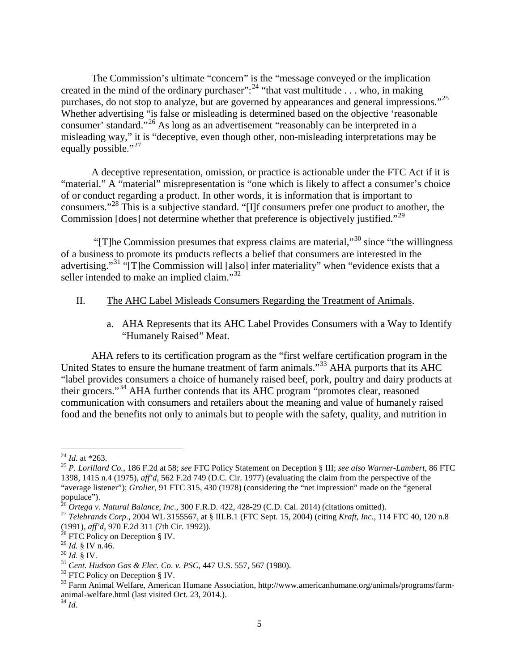The Commission's ultimate "concern" is the "message conveyed or the implication created in the mind of the ordinary purchaser":<sup>24</sup> "that vast multitude . . . who, in making purchases, do not stop to analyze, but are governed by appearances and general impressions."<sup>25</sup> Whether advertising "is false or misleading is determined based on the objective 'reasonable consumer' standard."<sup>26</sup> As long as an advertisement "reasonably can be interpreted in a misleading way," it is "deceptive, even though other, non-misleading interpretations may be equally possible."<sup>27</sup>

A deceptive representation, omission, or practice is actionable under the FTC Act if it is "material." A "material" misrepresentation is "one which is likely to affect a consumer's choice of or conduct regarding a product. In other words, it is information that is important to consumers."<sup>28</sup> This is a subjective standard. "[I]f consumers prefer one product to another, the Commission [does] not determine whether that preference is objectively justified."<sup>29</sup>

"[T]he Commission presumes that express claims are material,"<sup>30</sup> since "the willingness" of a business to promote its products reflects a belief that consumers are interested in the advertising."<sup>31</sup> "[T]he Commission will [also] infer materiality" when "evidence exists that a seller intended to make an implied claim."<sup>32</sup>

### II. The AHC Label Misleads Consumers Regarding the Treatment of Animals.

a. AHA Represents that its AHC Label Provides Consumers with a Way to Identify "Humanely Raised" Meat.

AHA refers to its certification program as the "first welfare certification program in the United States to ensure the humane treatment of farm animals."<sup>33</sup> AHA purports that its AHC "label provides consumers a choice of humanely raised beef, pork, poultry and dairy products at their grocers."<sup>34</sup> AHA further contends that its AHC program "promotes clear, reasoned communication with consumers and retailers about the meaning and value of humanely raised food and the benefits not only to animals but to people with the safety, quality, and nutrition in

<sup>24</sup> *Id.* at \*263. <sup>25</sup> *P. Lorillard Co.*, 186 F.2d at 58; *see* FTC Policy Statement on Deception § III; *see also Warner-Lambert*, 86 FTC 1398, 1415 n.4 (1975), *aff'd*, 562 F.2d 749 (D.C. Cir. 1977) (evaluating the claim from the perspective of the "average listener"); *Grolier*, 91 FTC 315, 430 (1978) (considering the "net impression" made on the "general populace").<br>
<sup>26</sup> Ortega v. Natural Balance, Inc., 300 F.R.D. 422, 428-29 (C.D. Cal. 2014) (citations omitted).

<sup>&</sup>lt;sup>27</sup> Telebrands Corp., 2004 WL 3155567, at § III.B.1 (FTC Sept. 15, 2004) (citing Kraft, Inc., 114 FTC 40, 120 n.8 (1991), *aff'd*, 970 F.2d 311 (7th Cir. 1992)). <sup>28</sup> FTC Policy on Deception § IV.

<sup>&</sup>lt;sup>30</sup> *Id.* § IV.<br><sup>31</sup> *Cent. Hudson Gas & Elec. Co. v. PSC*, 447 U.S. 557, 567 (1980).<br><sup>32</sup> FTC Policy on Deception § IV.<br><sup>33</sup> Farm Animal Welfare, American Humane Association, http://www.americanhumane.org/animals/progra animal-welfare.html (last visited Oct. 23, 2014.). <sup>34</sup> *Id.*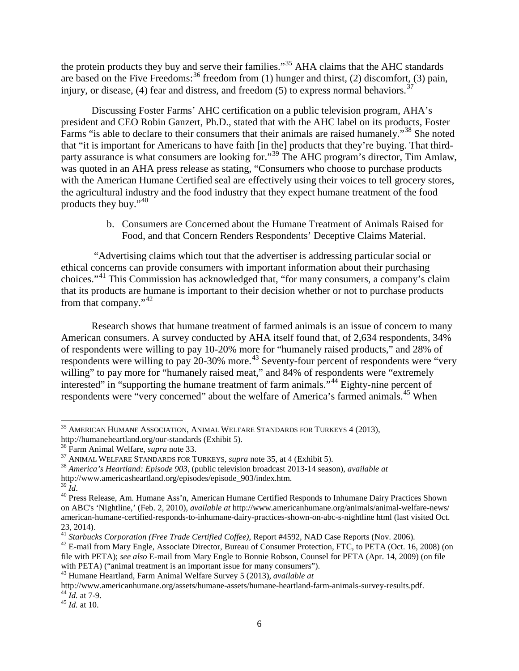the protein products they buy and serve their families."<sup>35</sup> AHA claims that the AHC standards are based on the Five Freedoms:  $36$  freedom from (1) hunger and thirst, (2) discomfort, (3) pain, injury, or disease, (4) fear and distress, and freedom (5) to express normal behaviors.<sup>37</sup>

Discussing Foster Farms' AHC certification on a public television program, AHA's president and CEO Robin Ganzert, Ph.D., stated that with the AHC label on its products, Foster Farms "is able to declare to their consumers that their animals are raised humanely."<sup>38</sup> She noted that "it is important for Americans to have faith [in the] products that they're buying. That thirdparty assurance is what consumers are looking for."<sup>39</sup> The AHC program's director, Tim Amlaw, was quoted in an AHA press release as stating, "Consumers who choose to purchase products with the American Humane Certified seal are effectively using their voices to tell grocery stores, the agricultural industry and the food industry that they expect humane treatment of the food products they buy."<sup>40</sup>

> b. Consumers are Concerned about the Humane Treatment of Animals Raised for Food, and that Concern Renders Respondents' Deceptive Claims Material.

"Advertising claims which tout that the advertiser is addressing particular social or ethical concerns can provide consumers with important information about their purchasing choices."41 This Commission has acknowledged that, "for many consumers, a company's claim that its products are humane is important to their decision whether or not to purchase products from that company."<sup>42</sup>

Research shows that humane treatment of farmed animals is an issue of concern to many American consumers. A survey conducted by AHA itself found that, of 2,634 respondents, 34% of respondents were willing to pay 10-20% more for "humanely raised products," and 28% of respondents were willing to pay 20-30% more.<sup>43</sup> Seventy-four percent of respondents were "very willing" to pay more for "humanely raised meat," and 84% of respondents were "extremely interested" in "supporting the humane treatment of farm animals."<sup>44</sup> Eighty-nine percent of respondents were "very concerned" about the welfare of America's farmed animals.<sup>45</sup> When

l

<sup>&</sup>lt;sup>35</sup> AMERICAN HUMANE ASSOCIATION, ANIMAL WELFARE STANDARDS FOR TURKEYS 4 (2013), http://humaneheartland.org/our-standards (Exhibit 5).

<sup>&</sup>lt;sup>36</sup> Farm Animal Welfare, *supra* note 33.<br><sup>37</sup> ANIMAL WELFARE STANDARDS FOR TURKEYS, *supra* note 35, at 4 (Exhibit 5).<br><sup>38</sup> America's Heartland: Episode 903, (public television broadcast 2013-14 season), *available at*<br>

<sup>&</sup>lt;sup>39</sup> *Id.*<br><sup>40</sup> Press Release, Am. Humane Ass'n, American Humane Certified Responds to Inhumane Dairy Practices Shown on ABC's 'Nightline,' (Feb. 2, 2010), *available at* http://www.americanhumane.org/animals/animal-welfare-news/ american-humane-certified-responds-to-inhumane-dairy-practices-shown-on-abc-s-nightline html (last visited Oct. 23, 2014).<br><sup>41</sup> Starbucks Corporation (Free Trade Certified Coffee), Report #4592, NAD Case Reports (Nov. 2006).<br><sup>42</sup> E-mail from Mary Engle, Associate Director, Bureau of Consumer Protection, FTC, to PETA (Oct. 16, 2008)

file with PETA); *see also* E-mail from Mary Engle to Bonnie Robson, Counsel for PETA (Apr. 14, 2009) (on file with PETA) ("animal treatment is an important issue for many consumers").

<sup>43</sup> Humane Heartland, Farm Animal Welfare Survey 5 (2013), *available at* 

http://www.americanhumane.org/assets/humane-assets/humane-heartland-farm-animals-survey-results.pdf. <sup>44</sup> *Id.* at 7-9. <sup>45</sup> *Id.* at 10.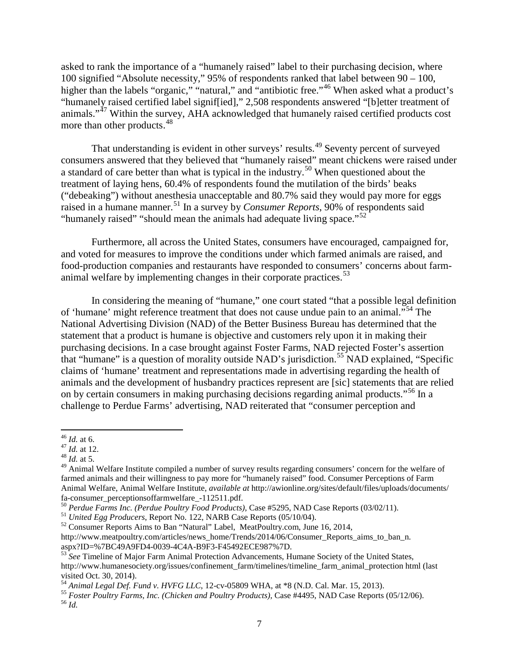asked to rank the importance of a "humanely raised" label to their purchasing decision, where 100 signified "Absolute necessity," 95% of respondents ranked that label between 90 – 100, higher than the labels "organic," "natural," and "antibiotic free."<sup>46</sup> When asked what a product's "humanely raised certified label signif[ied]," 2,508 respondents answered "[b]etter treatment of animals."<sup>47</sup> Within the survey, AHA acknowledged that humanely raised certified products cost more than other products.<sup>48</sup>

That understanding is evident in other surveys' results.<sup>49</sup> Seventy percent of surveyed consumers answered that they believed that "humanely raised" meant chickens were raised under a standard of care better than what is typical in the industry.<sup>50</sup> When questioned about the treatment of laying hens, 60.4% of respondents found the mutilation of the birds' beaks ("debeaking") without anesthesia unacceptable and 80.7% said they would pay more for eggs raised in a humane manner.<sup>51</sup> In a survey by *Consumer Reports*, 90% of respondents said "humanely raised" "should mean the animals had adequate living space."<sup>52</sup>

Furthermore, all across the United States, consumers have encouraged, campaigned for, and voted for measures to improve the conditions under which farmed animals are raised, and food-production companies and restaurants have responded to consumers' concerns about farmanimal welfare by implementing changes in their corporate practices.<sup>53</sup>

In considering the meaning of "humane," one court stated "that a possible legal definition of 'humane' might reference treatment that does not cause undue pain to an animal."<sup>54</sup> The National Advertising Division (NAD) of the Better Business Bureau has determined that the statement that a product is humane is objective and customers rely upon it in making their purchasing decisions. In a case brought against Foster Farms, NAD rejected Foster's assertion that "humane" is a question of morality outside NAD's jurisdiction.<sup>55</sup> NAD explained, "Specific claims of 'humane' treatment and representations made in advertising regarding the health of animals and the development of husbandry practices represent are [sic] statements that are relied on by certain consumers in making purchasing decisions regarding animal products."<sup>56</sup> In a challenge to Perdue Farms' advertising, NAD reiterated that "consumer perception and

 $46$  *Id.* at 6.

<sup>46</sup> *Id.* at 6. <sup>47</sup> *Id.* at 12. <sup>48</sup> *Id.* at 5.

<sup>&</sup>lt;sup>49</sup> Animal Welfare Institute compiled a number of survey results regarding consumers' concern for the welfare of farmed animals and their willingness to pay more for "humanely raised" food. Consumer Perceptions of Farm Animal Welfare, Animal Welfare Institute, *available at* http://awionline.org/sites/default/files/uploads/documents/

fa-consumer\_perceptionsoffarmwelfare\_-112511.pdf.<br><sup>50</sup> Perdue Farms Inc. (Perdue Poultry Food Products), Case #5295, NAD Case Reports (03/02/11).<br><sup>51</sup> United Egg Producers, Report No. 122, NARB Case Reports (05/10/04).<br><sup>5</sup>

http://www.meatpoultry.com/articles/news\_home/Trends/2014/06/Consumer\_Reports\_aims\_to\_ban\_n.

<sup>&</sup>lt;sup>53</sup> See Timeline of Major Farm Animal Protection Advancements, Humane Society of the United States, http://www.humanesociety.org/issues/confinement\_farm/timelines/timeline\_farm\_animal\_protection html (last visited Oct. 30, 2014).<br><sup>54</sup> Animal Legal Def. Fund v. HVFG LLC, 12-cv-05809 WHA, at \*8 (N.D. Cal. Mar. 15, 2013).

<sup>&</sup>lt;sup>55</sup> *Foster Poultry Farms, Inc. (Chicken and Poultry Products), Case #4495, NAD Case Reports (05/12/06).* <sup>56</sup> *Id.*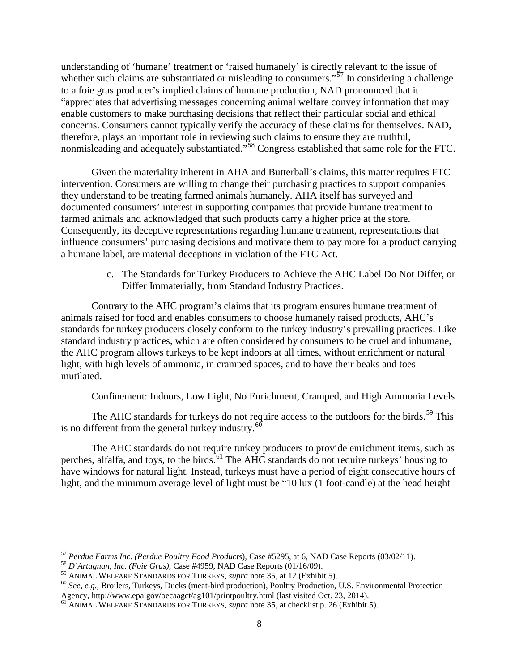understanding of 'humane' treatment or 'raised humanely' is directly relevant to the issue of whether such claims are substantiated or misleading to consumers."<sup>57</sup> In considering a challenge to a foie gras producer's implied claims of humane production, NAD pronounced that it "appreciates that advertising messages concerning animal welfare convey information that may enable customers to make purchasing decisions that reflect their particular social and ethical concerns. Consumers cannot typically verify the accuracy of these claims for themselves. NAD, therefore, plays an important role in reviewing such claims to ensure they are truthful, nonmisleading and adequately substantiated."<sup>58</sup> Congress established that same role for the FTC.

Given the materiality inherent in AHA and Butterball's claims, this matter requires FTC intervention. Consumers are willing to change their purchasing practices to support companies they understand to be treating farmed animals humanely. AHA itself has surveyed and documented consumers' interest in supporting companies that provide humane treatment to farmed animals and acknowledged that such products carry a higher price at the store. Consequently, its deceptive representations regarding humane treatment, representations that influence consumers' purchasing decisions and motivate them to pay more for a product carrying a humane label, are material deceptions in violation of the FTC Act.

> c. The Standards for Turkey Producers to Achieve the AHC Label Do Not Differ, or Differ Immaterially, from Standard Industry Practices.

Contrary to the AHC program's claims that its program ensures humane treatment of animals raised for food and enables consumers to choose humanely raised products, AHC's standards for turkey producers closely conform to the turkey industry's prevailing practices. Like standard industry practices, which are often considered by consumers to be cruel and inhumane, the AHC program allows turkeys to be kept indoors at all times, without enrichment or natural light, with high levels of ammonia, in cramped spaces, and to have their beaks and toes mutilated.

# Confinement: Indoors, Low Light, No Enrichment, Cramped, and High Ammonia Levels

The AHC standards for turkeys do not require access to the outdoors for the birds.<sup>59</sup> This is no different from the general turkey industry. $60$ 

The AHC standards do not require turkey producers to provide enrichment items, such as perches, alfalfa, and toys, to the birds.<sup>61</sup> The AHC standards do not require turkeys' housing to have windows for natural light. Instead, turkeys must have a period of eight consecutive hours of light, and the minimum average level of light must be "10 lux (1 foot-candle) at the head height

<sup>&</sup>lt;sup>57</sup> *Perdue Farms Inc. (Perdue Poultry Food Products*), Case #5295, at 6, NAD Case Reports (03/02/11).<br><sup>58</sup> *D'Artagnan, Inc. (Foie Gras)*, Case #4959, NAD Case Reports (01/16/09).<br><sup>59</sup> ANIMAL WELFARE STANDARDS FOR TURKEY

<sup>&</sup>lt;sup>60</sup> See, e.g., Broilers, Turkeys, Ducks (meat-bird production), Poultry Production, U.S. Environmental Protection Agency, http://www.epa.gov/oecaagct/ag101/printpoultry.html (last visited Oct. 23, 2014).

<sup>&</sup>lt;sup>61</sup> ANIMAL WELFARE STANDARDS FOR TURKEYS, *supra* note 35, at checklist p. 26 (Exhibit 5).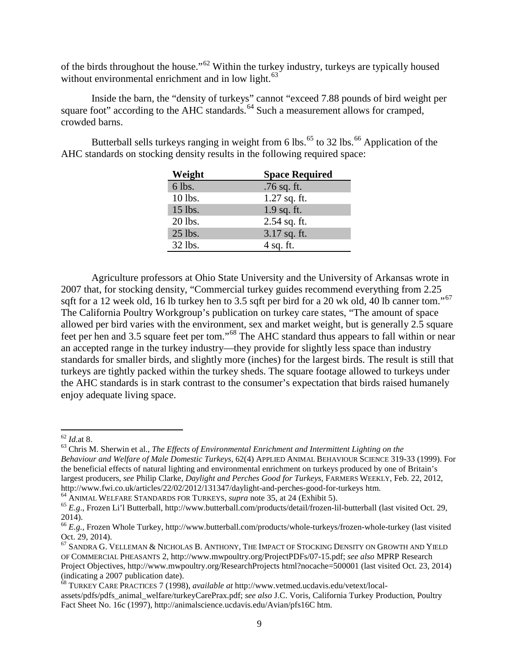of the birds throughout the house."62 Within the turkey industry, turkeys are typically housed without environmental enrichment and in low light.<sup>63</sup>

Inside the barn, the "density of turkeys" cannot "exceed 7.88 pounds of bird weight per square foot" according to the AHC standards.<sup>64</sup> Such a measurement allows for cramped, crowded barns.

Butterball sells turkeys ranging in weight from 6 lbs.<sup>65</sup> to 32 lbs.<sup>66</sup> Application of the AHC standards on stocking density results in the following required space:

| Weight  | <b>Space Required</b> |
|---------|-----------------------|
| 6 lbs.  | .76 sq. ft.           |
| 10 lbs. | $1.27$ sq. ft.        |
| 15 lbs. | 1.9 sq. ft.           |
| 20 lbs. | $2.54$ sq. ft.        |
| 25 lbs. | 3.17 sq. ft.          |
| 32 lbs. | 4 sq. ft.             |

Agriculture professors at Ohio State University and the University of Arkansas wrote in 2007 that, for stocking density, "Commercial turkey guides recommend everything from 2.25 sqft for a 12 week old, 16 lb turkey hen to 3.5 sqft per bird for a 20 wk old, 40 lb canner tom."<sup>67</sup> The California Poultry Workgroup's publication on turkey care states, "The amount of space allowed per bird varies with the environment, sex and market weight, but is generally  $2.\overline{5}$  square feet per hen and 3.5 square feet per tom."68 The AHC standard thus appears to fall within or near an accepted range in the turkey industry—they provide for slightly less space than industry standards for smaller birds, and slightly more (inches) for the largest birds. The result is still that turkeys are tightly packed within the turkey sheds. The square footage allowed to turkeys under the AHC standards is in stark contrast to the consumer's expectation that birds raised humanely enjoy adequate living space.

 $^{62}$  Id.<br>at 8.

<sup>&</sup>lt;sup>63</sup> Chris M. Sherwin et al., *The Effects of Environmental Enrichment and Intermittent Lighting on the Behaviour and Welfare of Male Domestic Turkeys*, 62(4) APPLIED ANIMAL BEHAVIOUR SCIENCE 319-33 (1999). For the beneficial effects of natural lighting and environmental enrichment on turkeys produced by one of Britain's largest producers, *see* Philip Clarke, *Daylight and Perches Good for Turkeys*, FARMERS WEEKLY, Feb. 22, 2012, http://www.fwi.co.uk/articles/22/02/2012/131347/daylight-and-perches-good-for-turkeys htm.<br><sup>64</sup> ANIMAL WELFARE STANDARDS FOR TURKEYS, *supra* note 35, at 24 (Exhibit 5).<br><sup>65</sup> E.g., Frozen Li'l Butterball, http://www.butter

<sup>2014).</sup> 

<sup>66</sup> *E.g.*, Frozen Whole Turkey, http://www.butterball.com/products/whole-turkeys/frozen-whole-turkey (last visited Oct. 29, 2014).

 $^{67}$  Sandra G. Velleman & Nicholas B. Anthony, The Impact of Stocking Density on Growth and Yield OF COMMERCIAL PHEASANTS 2, http://www.mwpoultry.org/ProjectPDFs/07-15.pdf; *see also* MPRP Research Project Objectives, http://www.mwpoultry.org/ResearchProjects html?nocache=500001 (last visited Oct. 23, 2014) (indicating a 2007 publication date). 68 TURKEY CARE PRACTICES 7 (1998), *available at* http://www.vetmed.ucdavis.edu/vetext/local-

assets/pdfs/pdfs\_animal\_welfare/turkeyCarePrax.pdf; *see also* J.C. Voris*,* California Turkey Production, Poultry Fact Sheet No. 16c (1997)*,* http://animalscience.ucdavis.edu/Avian/pfs16C htm.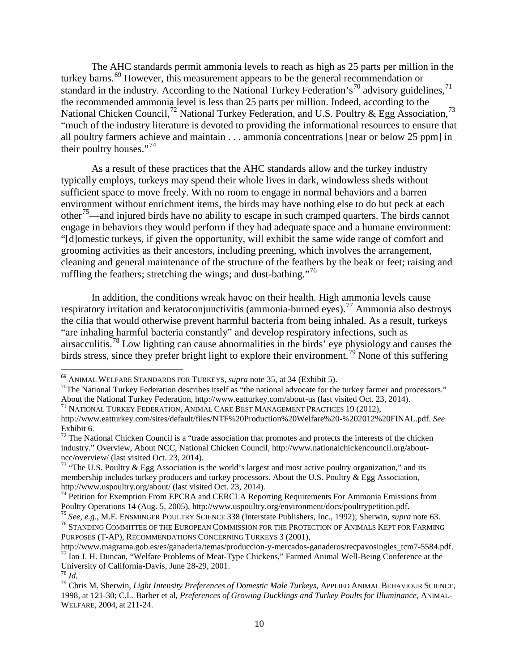The AHC standards permit ammonia levels to reach as high as 25 parts per million in the turkey barns.<sup>69</sup> However, this measurement appears to be the general recommendation or standard in the industry. According to the National Turkey Federation's<sup>70</sup> advisory guidelines,<sup>71</sup> the recommended ammonia level is less than 25 parts per million. Indeed, according to the National Chicken Council,<sup>72</sup> National Turkey Federation, and U.S. Poultry & Egg Association,<sup>73</sup> "much of the industry literature is devoted to providing the informational resources to ensure that all poultry farmers achieve and maintain . . . ammonia concentrations [near or below 25 ppm] in their poultry houses."<sup>74</sup>

As a result of these practices that the AHC standards allow and the turkey industry typically employs, turkeys may spend their whole lives in dark, windowless sheds without sufficient space to move freely. With no room to engage in normal behaviors and a barren environment without enrichment items, the birds may have nothing else to do but peck at each other<sup>75</sup>—and injured birds have no ability to escape in such cramped quarters. The birds cannot engage in behaviors they would perform if they had adequate space and a humane environment: "[d]omestic turkeys, if given the opportunity, will exhibit the same wide range of comfort and grooming activities as their ancestors, including preening, which involves the arrangement, cleaning and general maintenance of the structure of the feathers by the beak or feet; raising and ruffling the feathers; stretching the wings; and dust-bathing. $176$ 

In addition, the conditions wreak havoc on their health. High ammonia levels cause respiratory irritation and keratoconjunctivitis (ammonia-burned eyes).<sup>77</sup> Ammonia also destroys the cilia that would otherwise prevent harmful bacteria from being inhaled. As a result, turkeys "are inhaling harmful bacteria constantly" and develop respiratory infections, such as airsacculitis.<sup>78</sup> Low lighting can cause abnormalities in the birds' eye physiology and causes the birds stress, since they prefer bright light to explore their environment.<sup>79</sup> None of this suffering

<sup>&</sup>lt;sup>69</sup> ANIMAL WELFARE STANDARDS FOR TURKEYS, *supra* note 35, at 34 (Exhibit 5).<br><sup>70</sup>The National Turkey Federation describes itself as "the national advocate for the turkey farmer and processors." About the National Turkey Federation, http://www.eatturkey.com/about-us (last visited Oct. 23, 2014).<br><sup>71</sup> NATIONAL TURKEY FEDERATION, ANIMAL CARE BEST MANAGEMENT PRACTICES 19 (2012),

http://www.eatturkey.com/sites/default/files/NTF%20Production%20Welfare%20-%202012%20FINAL.pdf. *See* 

Exhibit 6.  $72$  The National Chicken Council is a "trade association that promotes and protects the interests of the chicken industry." Overview, About NCC, National Chicken Council, http://www.nationalchickencouncil.org/about-<br>ncc/overview/ (last visited Oct. 23, 2014).

<sup>&</sup>lt;sup>73</sup> "The U.S. Poultry & Egg Association is the world's largest and most active poultry organization," and its membership includes turkey producers and turkey processors. About the U.S. Poultry  $\&$  Egg Association,

http://www.uspoultry.org/about/ (last visited Oct. 23, 2014).<br><sup>74</sup> Petition for Exemption From EPCRA and CERCLA Reporting Requirements For Ammonia Emissions from Poultry Operations 14 (Aug. 5, 2005), http://www.uspoultry.o

<sup>&</sup>lt;sup>75</sup> See, e.g., M.E. ENSMINGER POULTRY SCIENCE 338 (Interstate Publishers, Inc., 1992); Sherwin, *supra* note 63.<br><sup>76</sup> STANDING COMMITTEE OF THE EUROPEAN COMMISSION FOR THE PROTECTION OF ANIMALS KEPT FOR FARMING

PURPOSES (T-AP), RECOMMENDATIONS CONCERNING TURKEYS 3 (2001),<br>http://www.magrama.gob.es/es/ganaderia/temas/produccion-y-mercados-ganaderos/recpavosingles\_tcm7-5584.pdf.

<sup>&</sup>lt;sup>77</sup> Ian J. H. Duncan, "Welfare Problems of Meat-Type Chickens," Farmed Animal Well-Being Conference at the University of California-Davis, June 28-29, 2001.

<sup>&</sup>lt;sup>78</sup> Id.<br><sup>79</sup> Chris M. Sherwin, *Light Intensity Preferences of Domestic Male Turkeys*, APPLIED ANIMAL BEHAVIOUR SCIENCE, 1998, at 121-30; C.L. Barber et al, *Preferences of Growing Ducklings and Turkey Poults for Illuminance*, ANIMAL-WELFARE, 2004, at 211-24.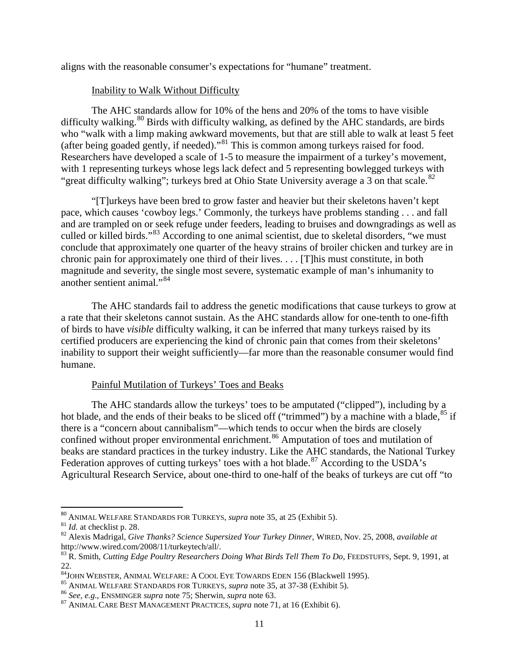aligns with the reasonable consumer's expectations for "humane" treatment.

# Inability to Walk Without Difficulty

The AHC standards allow for 10% of the hens and 20% of the toms to have visible difficulty walking.  $80$  Birds with difficulty walking, as defined by the AHC standards, are birds who "walk with a limp making awkward movements, but that are still able to walk at least 5 feet (after being goaded gently, if needed)."<sup>81</sup> This is common among turkeys raised for food. Researchers have developed a scale of 1-5 to measure the impairment of a turkey's movement, with 1 representing turkeys whose legs lack defect and 5 representing bowlegged turkeys with "great difficulty walking"; turkeys bred at Ohio State University average a 3 on that scale.<sup>82</sup>

"[T]urkeys have been bred to grow faster and heavier but their skeletons haven't kept pace, which causes 'cowboy legs.' Commonly, the turkeys have problems standing . . . and fall and are trampled on or seek refuge under feeders, leading to bruises and downgradings as well as culled or killed birds."<sup>83</sup> According to one animal scientist, due to skeletal disorders, "we must conclude that approximately one quarter of the heavy strains of broiler chicken and turkey are in chronic pain for approximately one third of their lives. . . . [T]his must constitute, in both magnitude and severity, the single most severe, systematic example of man's inhumanity to another sentient animal."<sup>84</sup>

The AHC standards fail to address the genetic modifications that cause turkeys to grow at a rate that their skeletons cannot sustain. As the AHC standards allow for one-tenth to one-fifth of birds to have *visible* difficulty walking, it can be inferred that many turkeys raised by its certified producers are experiencing the kind of chronic pain that comes from their skeletons' inability to support their weight sufficiently—far more than the reasonable consumer would find humane.

# Painful Mutilation of Turkeys' Toes and Beaks

The AHC standards allow the turkeys' toes to be amputated ("clipped"), including by a hot blade, and the ends of their beaks to be sliced off ("trimmed") by a machine with a blade, <sup>85</sup> if there is a "concern about cannibalism"—which tends to occur when the birds are closely confined without proper environmental enrichment.<sup>86</sup> Amputation of toes and mutilation of beaks are standard practices in the turkey industry. Like the AHC standards, the National Turkey Federation approves of cutting turkeys' toes with a hot blade.<sup>87</sup> According to the USDA's Agricultural Research Service, about one-third to one-half of the beaks of turkeys are cut off "to

<sup>&</sup>lt;sup>80</sup> ANIMAL WELFARE STANDARDS FOR TURKEYS, *supra* note 35, at 25 (Exhibit 5).<br><sup>81</sup> *Id.* at checklist p. 28.<br><sup>82</sup> Alexis Madrigal, *Give Thanks? Science Supersized Your Turkey Dinner*, WIRED, Nov. 25, 2008, *available at* http://www.wired.com/2008/11/turkeytech/all/.

<sup>83</sup> R. Smith, *Cutting Edge Poultry Researchers Doing What Birds Tell Them To Do*, FEEDSTUFFS, Sept. 9, 1991, at 22.<br><sup>84</sup>JOHN WEBSTER, ANIMAL WELFARE: A COOL EYE TOWARDS EDEN 156 (Blackwell 1995).

<sup>&</sup>lt;sup>85</sup> ANIMAL WELFARE STANDARDS FOR TURKEYS, *supra* note 35, at 37-38 (Exhibit 5).<br><sup>86</sup> See, e.g., ENSMINGER *supra* note 75; Sherwin, *supra* note 63.<br><sup>87</sup> ANIMAL CARE BEST MANAGEMENT PRACTICES, *supra* note 71, at 16 (Exh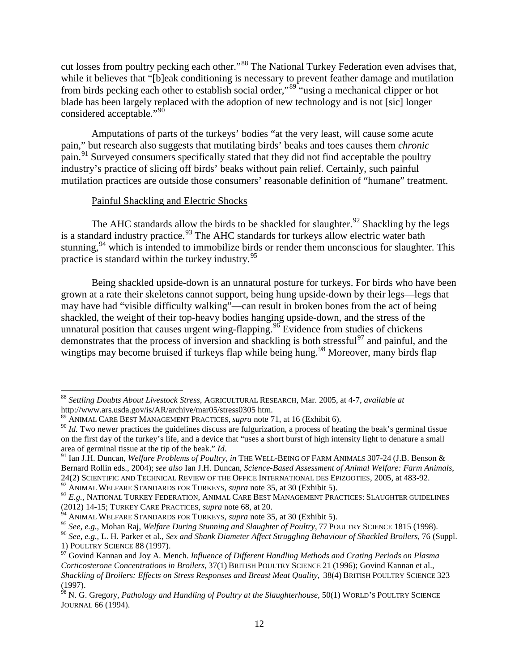cut losses from poultry pecking each other."88 The National Turkey Federation even advises that, while it believes that "[b]eak conditioning is necessary to prevent feather damage and mutilation from birds pecking each other to establish social order,"89 "using a mechanical clipper or hot blade has been largely replaced with the adoption of new technology and is not [sic] longer considered acceptable."<sup>90</sup>

Amputations of parts of the turkeys' bodies "at the very least, will cause some acute pain," but research also suggests that mutilating birds' beaks and toes causes them *chronic* pain.91 Surveyed consumers specifically stated that they did not find acceptable the poultry industry's practice of slicing off birds' beaks without pain relief. Certainly, such painful mutilation practices are outside those consumers' reasonable definition of "humane" treatment.

#### Painful Shackling and Electric Shocks

l

The AHC standards allow the birds to be shackled for slaughter.<sup>92</sup> Shackling by the legs is a standard industry practice.<sup>93</sup> The AHC standards for turkeys allow electric water bath stunning,<sup>94</sup> which is intended to immobilize birds or render them unconscious for slaughter. This practice is standard within the turkey industry.95

Being shackled upside-down is an unnatural posture for turkeys. For birds who have been grown at a rate their skeletons cannot support, being hung upside-down by their legs—legs that may have had "visible difficulty walking"—can result in broken bones from the act of being shackled, the weight of their top-heavy bodies hanging upside-down, and the stress of the unnatural position that causes urgent wing-flapping.<sup>96</sup> Evidence from studies of chickens demonstrates that the process of inversion and shackling is both stressful<sup>97</sup> and painful, and the wingtips may become bruised if turkeys flap while being hung.<sup>98</sup> Moreover, many birds flap

<sup>88</sup> *Settling Doubts About Livestock Stress*, AGRICULTURAL RESEARCH, Mar. 2005, at 4-7, *available at*

<sup>&</sup>lt;sup>89</sup> ANIMAL CARE BEST MANAGEMENT PRACTICES, *supra* note 71, at 16 (Exhibit 6).<br><sup>90</sup> *Id*. Two newer practices the guidelines discuss are fulgurization, a process of heating the beak's germinal tissue on the first day of the turkey's life, and a device that "uses a short burst of high intensity light to denature a small area of germinal tissue at the tip of the beak." *Id.*

<sup>&</sup>lt;sup>91</sup> Ian J.H. Duncan, *Welfare Problems of Poultry, in* THE WELL-BEING OF FARM ANIMALS 307-24 (J.B. Benson & Bernard Rollin eds., 2004); *see also* Ian J.H. Duncan, *Science-Based Assessment of Animal Welfare: Farm Animals*,

<sup>&</sup>lt;sup>92</sup> ANIMAL WELFARE STANDARDS FOR TURKEYS, *supra* note 35, at 30 (Exhibit 5).<br><sup>93</sup> E.g., NATIONAL TURKEY FEDERATION, ANIMAL CARE BEST MANAGEMENT PRACTICES: SLAUGHTER GUIDELINES (2012) 14-15; TURKEY CARE PRACTICES, *supra* note 68, at 20.<br><sup>94</sup> ANIMAL WELFARE STANDARDS FOR TURKEYS, *supra* note 35, at 30 (Exhibit 5).

<sup>&</sup>lt;sup>95</sup> See, e.g., Mohan Raj, Welfare During Stunning and Slaughter of Poultry, 77 POULTRY SCIENCE 1815 (1998).<br><sup>96</sup> See, e.g., L. H. Parker et al., Sex and Shank Diameter Affect Struggling Behaviour of Shackled Broilers, 76

<sup>&</sup>lt;sup>97</sup> Govind Kannan and Joy A. Mench. *Influence of Different Handling Methods and Crating Periods on Plasma Corticosterone Concentrations in Broilers*, 37(1) BRITISH POULTRY SCIENCE 21 (1996); Govind Kannan et al., *Shackling of Broilers: Effects on Stress Responses and Breast Meat Quality*, 38(4) BRITISH POULTRY SCIENCE 323 (1997). <sup>98</sup> N. G. Gregory, *Pathology and Handling of Poultry at the Slaughterhouse,* 50(1) WORLD'S POULTRY SCIENCE

JOURNAL 66 (1994).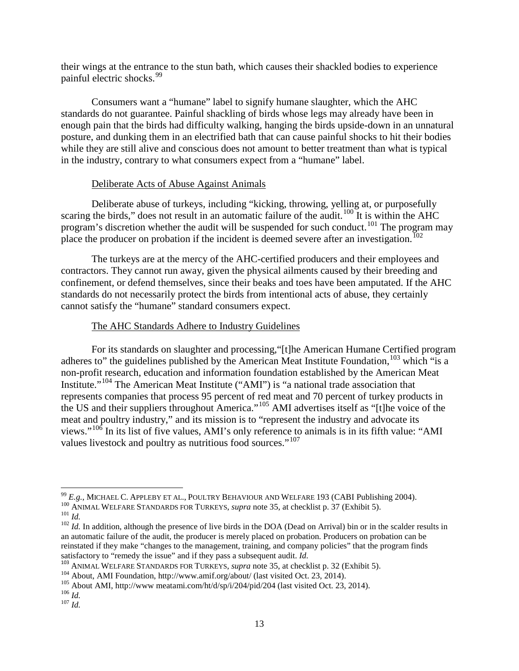their wings at the entrance to the stun bath, which causes their shackled bodies to experience painful electric shocks.99

Consumers want a "humane" label to signify humane slaughter, which the AHC standards do not guarantee. Painful shackling of birds whose legs may already have been in enough pain that the birds had difficulty walking, hanging the birds upside-down in an unnatural posture, and dunking them in an electrified bath that can cause painful shocks to hit their bodies while they are still alive and conscious does not amount to better treatment than what is typical in the industry, contrary to what consumers expect from a "humane" label.

#### Deliberate Acts of Abuse Against Animals

Deliberate abuse of turkeys, including "kicking, throwing, yelling at, or purposefully scaring the birds," does not result in an automatic failure of the audit. $100$  It is within the AHC program's discretion whether the audit will be suspended for such conduct.<sup>101</sup> The program may place the producer on probation if the incident is deemed severe after an investigation.<sup>102</sup>

The turkeys are at the mercy of the AHC-certified producers and their employees and contractors. They cannot run away, given the physical ailments caused by their breeding and confinement, or defend themselves, since their beaks and toes have been amputated. If the AHC standards do not necessarily protect the birds from intentional acts of abuse, they certainly cannot satisfy the "humane" standard consumers expect.

# The AHC Standards Adhere to Industry Guidelines

For its standards on slaughter and processing,"[t]he American Humane Certified program adheres to" the guidelines published by the American Meat Institute Foundation,<sup>103</sup> which "is a non-profit research, education and information foundation established by the American Meat Institute."<sup>104</sup> The American Meat Institute ("AMI") is "a national trade association that represents companies that process 95 percent of red meat and 70 percent of turkey products in the US and their suppliers throughout America."<sup>105</sup> AMI advertises itself as "[t]he voice of the meat and poultry industry," and its mission is to "represent the industry and advocate its views."<sup>106</sup> In its list of five values, AMI's only reference to animals is in its fifth value: "AMI values livestock and poultry as nutritious food sources."<sup>107</sup>

 $99$   $E.g.,$  MICHAEL C. APPLEBY ET AL., POULTRY BEHAVIOUR AND WELFARE 193 (CABI Publishing 2004).

<sup>&</sup>lt;sup>100</sup> ANIMAL WELFARE STANDARDS FOR TURKEYS, *supra* note 35, at checklist p. 37 (Exhibit 5).<br><sup>101</sup> *Id.*<br><sup>102</sup> *Id.* In addition, although the presence of live birds in the DOA (Dead on Arrival) bin or in the scalder resu an automatic failure of the audit, the producer is merely placed on probation. Producers on probation can be reinstated if they make "changes to the management, training, and company policies" that the program finds satisfactory to "remedy the issue" and if they pass a subsequent audit. *Id.*<br><sup>103</sup> ANIMAL WELFARE STANDARDS FOR TURKEYS, *supra* note 35, at checklist p. 32 (Exhibit 5).<br><sup>104</sup> About, AMI Foundation, http://www.amif.org/a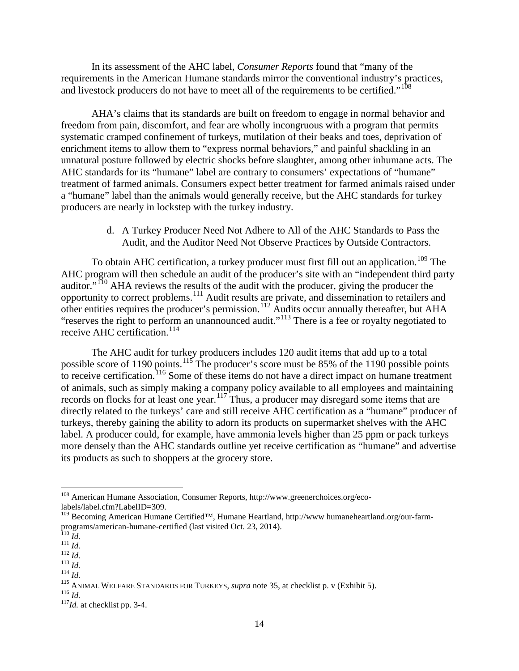In its assessment of the AHC label, *Consumer Reports* found that "many of the requirements in the American Humane standards mirror the conventional industry's practices, and livestock producers do not have to meet all of the requirements to be certified."<sup>108</sup>

AHA's claims that its standards are built on freedom to engage in normal behavior and freedom from pain, discomfort, and fear are wholly incongruous with a program that permits systematic cramped confinement of turkeys, mutilation of their beaks and toes, deprivation of enrichment items to allow them to "express normal behaviors," and painful shackling in an unnatural posture followed by electric shocks before slaughter, among other inhumane acts. The AHC standards for its "humane" label are contrary to consumers' expectations of "humane" treatment of farmed animals. Consumers expect better treatment for farmed animals raised under a "humane" label than the animals would generally receive, but the AHC standards for turkey producers are nearly in lockstep with the turkey industry.

> d. A Turkey Producer Need Not Adhere to All of the AHC Standards to Pass the Audit, and the Auditor Need Not Observe Practices by Outside Contractors.

To obtain AHC certification, a turkey producer must first fill out an application.<sup>109</sup> The AHC program will then schedule an audit of the producer's site with an "independent third party auditor."<sup>110</sup> AHA reviews the results of the audit with the producer, giving the producer the opportunity to correct problems.111 Audit results are private, and dissemination to retailers and other entities requires the producer's permission.<sup>112</sup> Audits occur annually thereafter, but AHA "reserves the right to perform an unannounced audit."<sup>113</sup> There is a fee or royalty negotiated to receive AHC certification.<sup>114</sup>

The AHC audit for turkey producers includes 120 audit items that add up to a total possible score of 1190 points.<sup>115</sup> The producer's score must be 85% of the 1190 possible points to receive certification.<sup>116</sup> Some of these items do not have a direct impact on humane treatment of animals, such as simply making a company policy available to all employees and maintaining records on flocks for at least one year.<sup>117</sup> Thus, a producer may disregard some items that are directly related to the turkeys' care and still receive AHC certification as a "humane" producer of turkeys, thereby gaining the ability to adorn its products on supermarket shelves with the AHC label. A producer could, for example, have ammonia levels higher than 25 ppm or pack turkeys more densely than the AHC standards outline yet receive certification as "humane" and advertise its products as such to shoppers at the grocery store.

 $\overline{\phantom{a}}$ 

<sup>108</sup> American Humane Association, Consumer Reports, http://www.greenerchoices.org/eco-

labels/label.cfm?LabelID=309.<br><sup>109</sup> Becoming American Humane Certified™, Humane Heartland, http://www humaneheartland.org/our-farm-<br>programs/american-humane-certified (last visited Oct. 23, 2014).<br>*Id.* 

<sup>&</sup>lt;sup>111</sup> *Id.*<br>
<sup>112</sup> *Id.*<br>
<sup>113</sup> *Id.*<br>
<sup>113</sup> *Id.*<br>
<sup>115</sup> ANIMAL WELFARE STANDARDS FOR TURKEYS, *supra* note 35, at checklist p. v (Exhibit 5).<br>
<sup>116</sup> *Id.*<br>
<sup>117</sup>*Id.* at checklist pp. 3-4.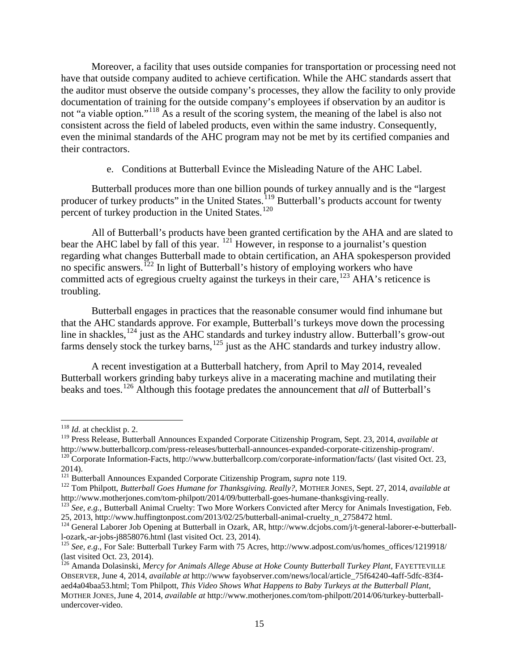Moreover, a facility that uses outside companies for transportation or processing need not have that outside company audited to achieve certification. While the AHC standards assert that the auditor must observe the outside company's processes, they allow the facility to only provide documentation of training for the outside company's employees if observation by an auditor is not "a viable option."<sup>118</sup> As a result of the scoring system, the meaning of the label is also not consistent across the field of labeled products, even within the same industry. Consequently, even the minimal standards of the AHC program may not be met by its certified companies and their contractors.

#### e. Conditions at Butterball Evince the Misleading Nature of the AHC Label.

Butterball produces more than one billion pounds of turkey annually and is the "largest producer of turkey products" in the United States.<sup>119</sup> Butterball's products account for twenty percent of turkey production in the United States.<sup>120</sup>

All of Butterball's products have been granted certification by the AHA and are slated to bear the AHC label by fall of this year. <sup>121</sup> However, in response to a journalist's question regarding what changes Butterball made to obtain certification, an AHA spokesperson provided no specific answers.<sup>122</sup> In light of Butterball's history of employing workers who have committed acts of egregious cruelty against the turkeys in their care,  $^{123}$  AHA's reticence is troubling.

Butterball engages in practices that the reasonable consumer would find inhumane but that the AHC standards approve. For example, Butterball's turkeys move down the processing line in shackles,<sup>124</sup> just as the AHC standards and turkey industry allow. Butterball's grow-out farms densely stock the turkey barns, $125$  just as the AHC standards and turkey industry allow.

A recent investigation at a Butterball hatchery, from April to May 2014, revealed Butterball workers grinding baby turkeys alive in a macerating machine and mutilating their beaks and toes.126 Although this footage predates the announcement that *all* of Butterball's

l

<sup>118</sup> *Id.* at checklist p. 2.

<sup>&</sup>lt;sup>119</sup> Press Release, Butterball Announces Expanded Corporate Citizenship Program, Sept. 23, 2014, *available at* http://www.butterballcorp.com/press-releases/butterball-announces-expanded-corporate-citizenship-program/.  $h^{120}$ Corporate Information-Facts, http://www.butterballcorp.com/corporate-information/facts/ (last visited Oct. 23, 2014). <sup>121</sup> Butterball Announces Expanded Corporate Citizenship Program, *supra* note 119. 122 Tom Philpott, *Butterball Goes Humane for Thanksgiving. Really?*, MOTHER JONES, Sept. 27, 2014, *available at*

http://www.motherjones.com/tom-philpott/2014/09/butterball-goes-humane-thanksgiving-really. <sup>123</sup> *See, e.g.,* Butterball Animal Cruelty: Two More Workers Convicted after Mercy for Animals Investigation, Feb.

<sup>25, 2013,</sup> http://www.huffingtonpost.com/2013/02/25/butterball-animal-cruelty\_n\_2758472 html.<br><sup>124</sup> General Laborer Job Opening at Butterball in Ozark, AR, http://www.dcjobs.com/j/t-general-laborer-e-butterball-<br>1-ozark.-ar

<sup>&</sup>lt;sup>125</sup> *See, e.g.*, For Sale: Butterball Turkey Farm with 75 Acres, http://www.adpost.com/us/homes\_offices/1219918/ (last visited Oct. 23, 2014).

<sup>&</sup>lt;sup>126</sup> Amanda Dolasinski, *Mercy for Animals Allege Abuse at Hoke County Butterball Turkey Plant*, FAYETTEVILLE OBSERVER, June 4, 2014, *available at* http://www fayobserver.com/news/local/article\_75f64240-4aff-5dfc-83f4 aed4a04baa53.html; Tom Philpott, *This Video Shows What Happens to Baby Turkeys at the Butterball Plant*, MOTHER JONES, June 4, 2014, *available at* http://www.motherjones.com/tom-philpott/2014/06/turkey-butterballundercover-video.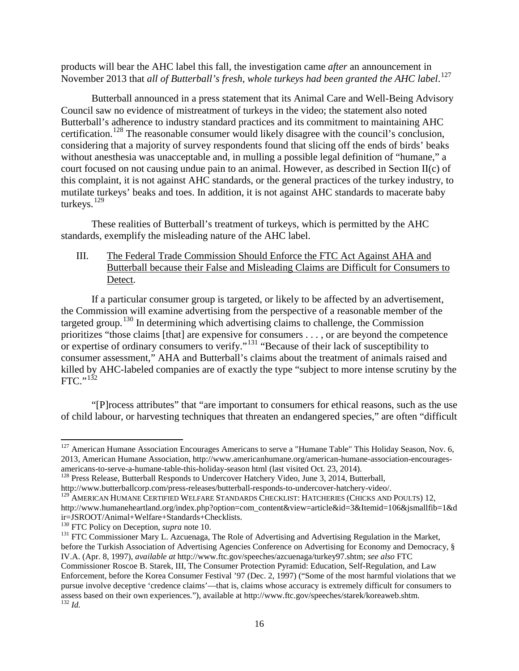products will bear the AHC label this fall, the investigation came *after* an announcement in November 2013 that *all of Butterball's fresh, whole turkeys had been granted the AHC label*. 127

Butterball announced in a press statement that its Animal Care and Well-Being Advisory Council saw no evidence of mistreatment of turkeys in the video; the statement also noted Butterball's adherence to industry standard practices and its commitment to maintaining AHC certification.<sup>128</sup> The reasonable consumer would likely disagree with the council's conclusion, considering that a majority of survey respondents found that slicing off the ends of birds' beaks without anesthesia was unacceptable and, in mulling a possible legal definition of "humane," a court focused on not causing undue pain to an animal. However, as described in Section II(c) of this complaint, it is not against AHC standards, or the general practices of the turkey industry, to mutilate turkeys' beaks and toes. In addition, it is not against AHC standards to macerate baby turkeys.<sup>129</sup>

These realities of Butterball's treatment of turkeys, which is permitted by the AHC standards, exemplify the misleading nature of the AHC label.

# III. The Federal Trade Commission Should Enforce the FTC Act Against AHA and Butterball because their False and Misleading Claims are Difficult for Consumers to Detect.

If a particular consumer group is targeted, or likely to be affected by an advertisement, the Commission will examine advertising from the perspective of a reasonable member of the targeted group.<sup>130</sup> In determining which advertising claims to challenge, the Commission prioritizes "those claims [that] are expensive for consumers . . . , or are beyond the competence or expertise of ordinary consumers to verify."<sup>131</sup> "Because of their lack of susceptibility to consumer assessment," AHA and Butterball's claims about the treatment of animals raised and killed by AHC-labeled companies are of exactly the type "subject to more intense scrutiny by the  $FTC.$ <sup>132</sup>

"[P]rocess attributes" that "are important to consumers for ethical reasons, such as the use of child labour, or harvesting techniques that threaten an endangered species," are often "difficult

 $\overline{\phantom{a}}$ 

<sup>&</sup>lt;sup>127</sup> American Humane Association Encourages Americans to serve a "Humane Table" This Holiday Season, Nov. 6, 2013, American Humane Association, http://www.americanhumane.org/american-humane-association-encouragesamericans-to-serve-a-humane-table-this-holiday-season html (last visited Oct. 23, 2014). 128 Press Release, Butterball Responds to Undercover Hatchery Video, June 3, 2014, Butterball,

http://www.butterballcorp.com/press-releases/butterball-responds-to-undercover-hatchery-video/.

<sup>&</sup>lt;sup>129</sup> AMERICAN HUMANE CERTIFIED WELFARE STANDARDS CHECKLIST: HATCHERIES (CHICKS AND POULTS) 12,

http://www.humaneheartland.org/index.php?option=com\_content&view=article&id=3&Itemid=106&jsmallfib=1&d

<sup>&</sup>lt;sup>130</sup> FTC Policy on Deception, *supra* note 10.<br><sup>131</sup> FTC Commissioner Mary L. Azcuenaga, The Role of Advertising and Advertising Regulation in the Market, before the Turkish Association of Advertising Agencies Conference on Advertising for Economy and Democracy, § IV.A. (Apr. 8, 1997), *available at* http://www.ftc.gov/speeches/azcuenaga/turkey97.shtm; *see also* FTC Commissioner Roscoe B. Starek, III, The Consumer Protection Pyramid: Education, Self-Regulation, and Law Enforcement, before the Korea Consumer Festival '97 (Dec. 2, 1997) ("Some of the most harmful violations that we pursue involve deceptive 'credence claims'—that is, claims whose accuracy is extremely difficult for consumers to assess based on their own experiences."), available at http://www.ftc.gov/speeches/starek/koreaweb.shtm. <sup>132</sup> *Id.*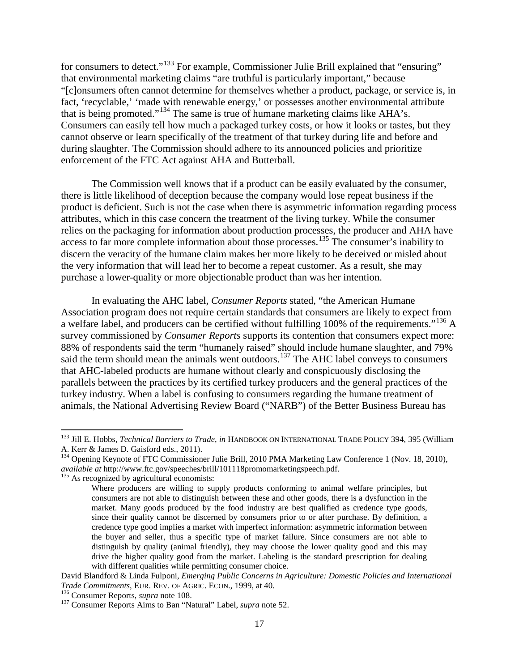for consumers to detect."<sup>133</sup> For example, Commissioner Julie Brill explained that "ensuring" that environmental marketing claims "are truthful is particularly important," because "[c]onsumers often cannot determine for themselves whether a product, package, or service is, in fact, 'recyclable,' 'made with renewable energy,' or possesses another environmental attribute that is being promoted."<sup>134</sup> The same is true of humane marketing claims like AHA's. Consumers can easily tell how much a packaged turkey costs, or how it looks or tastes, but they cannot observe or learn specifically of the treatment of that turkey during life and before and during slaughter. The Commission should adhere to its announced policies and prioritize enforcement of the FTC Act against AHA and Butterball.

The Commission well knows that if a product can be easily evaluated by the consumer, there is little likelihood of deception because the company would lose repeat business if the product is deficient. Such is not the case when there is asymmetric information regarding process attributes, which in this case concern the treatment of the living turkey. While the consumer relies on the packaging for information about production processes, the producer and AHA have access to far more complete information about those processes. <sup>135</sup> The consumer's inability to discern the veracity of the humane claim makes her more likely to be deceived or misled about the very information that will lead her to become a repeat customer. As a result, she may purchase a lower-quality or more objectionable product than was her intention.

In evaluating the AHC label, *Consumer Reports* stated, "the American Humane Association program does not require certain standards that consumers are likely to expect from a welfare label, and producers can be certified without fulfilling 100% of the requirements."<sup>136</sup> A survey commissioned by *Consumer Reports* supports its contention that consumers expect more: 88% of respondents said the term "humanely raised" should include humane slaughter, and 79% said the term should mean the animals went outdoors.<sup>137</sup> The AHC label conveys to consumers that AHC-labeled products are humane without clearly and conspicuously disclosing the parallels between the practices by its certified turkey producers and the general practices of the turkey industry. When a label is confusing to consumers regarding the humane treatment of animals, the National Advertising Review Board ("NARB") of the Better Business Bureau has

<sup>133</sup> Jill E. Hobbs, *Technical Barriers to Trade*, *in* HANDBOOK ON INTERNATIONAL TRADE POLICY 394, 395 (William A. Kerr & James D. Gaisford eds., 2011).

<sup>&</sup>lt;sup>134</sup> Opening Keynote of FTC Commissioner Julie Brill, 2010 PMA Marketing Law Conference 1 (Nov. 18, 2010), *available at* http://www.ftc.gov/speeches/brill/101118promomarketingspeech.pdf. <sup>135</sup> As recognized by agricultural economists:

Where producers are willing to supply products conforming to animal welfare principles, but consumers are not able to distinguish between these and other goods, there is a dysfunction in the market. Many goods produced by the food industry are best qualified as credence type goods, since their quality cannot be discerned by consumers prior to or after purchase. By definition, a credence type good implies a market with imperfect information: asymmetric information between the buyer and seller, thus a specific type of market failure. Since consumers are not able to distinguish by quality (animal friendly), they may choose the lower quality good and this may drive the higher quality good from the market. Labeling is the standard prescription for dealing with different qualities while permitting consumer choice.

David Blandford & Linda Fulponi, *Emerging Public Concerns in Agriculture: Domestic Policies and International* 

<sup>&</sup>lt;sup>136</sup> Consumer Reports, *supra* note 108.<br><sup>137</sup> Consumer Reports Aims to Ban "Natural" Label, *supra* note 52.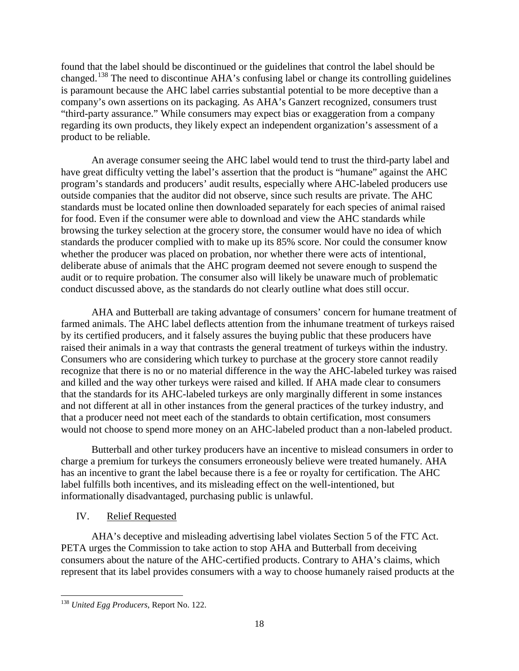found that the label should be discontinued or the guidelines that control the label should be changed.<sup>138</sup> The need to discontinue AHA's confusing label or change its controlling guidelines is paramount because the AHC label carries substantial potential to be more deceptive than a company's own assertions on its packaging. As AHA's Ganzert recognized, consumers trust "third-party assurance." While consumers may expect bias or exaggeration from a company regarding its own products, they likely expect an independent organization's assessment of a product to be reliable.

An average consumer seeing the AHC label would tend to trust the third-party label and have great difficulty vetting the label's assertion that the product is "humane" against the AHC program's standards and producers' audit results, especially where AHC-labeled producers use outside companies that the auditor did not observe, since such results are private. The AHC standards must be located online then downloaded separately for each species of animal raised for food. Even if the consumer were able to download and view the AHC standards while browsing the turkey selection at the grocery store, the consumer would have no idea of which standards the producer complied with to make up its 85% score. Nor could the consumer know whether the producer was placed on probation, nor whether there were acts of intentional, deliberate abuse of animals that the AHC program deemed not severe enough to suspend the audit or to require probation. The consumer also will likely be unaware much of problematic conduct discussed above, as the standards do not clearly outline what does still occur.

AHA and Butterball are taking advantage of consumers' concern for humane treatment of farmed animals. The AHC label deflects attention from the inhumane treatment of turkeys raised by its certified producers, and it falsely assures the buying public that these producers have raised their animals in a way that contrasts the general treatment of turkeys within the industry. Consumers who are considering which turkey to purchase at the grocery store cannot readily recognize that there is no or no material difference in the way the AHC-labeled turkey was raised and killed and the way other turkeys were raised and killed. If AHA made clear to consumers that the standards for its AHC-labeled turkeys are only marginally different in some instances and not different at all in other instances from the general practices of the turkey industry, and that a producer need not meet each of the standards to obtain certification, most consumers would not choose to spend more money on an AHC-labeled product than a non-labeled product.

Butterball and other turkey producers have an incentive to mislead consumers in order to charge a premium for turkeys the consumers erroneously believe were treated humanely. AHA has an incentive to grant the label because there is a fee or royalty for certification. The AHC label fulfills both incentives, and its misleading effect on the well-intentioned, but informationally disadvantaged, purchasing public is unlawful.

# IV. Relief Requested

AHA's deceptive and misleading advertising label violates Section 5 of the FTC Act. PETA urges the Commission to take action to stop AHA and Butterball from deceiving consumers about the nature of the AHC-certified products. Contrary to AHA's claims, which represent that its label provides consumers with a way to choose humanely raised products at the

<sup>138</sup> *United Egg Producers*, Report No. 122.